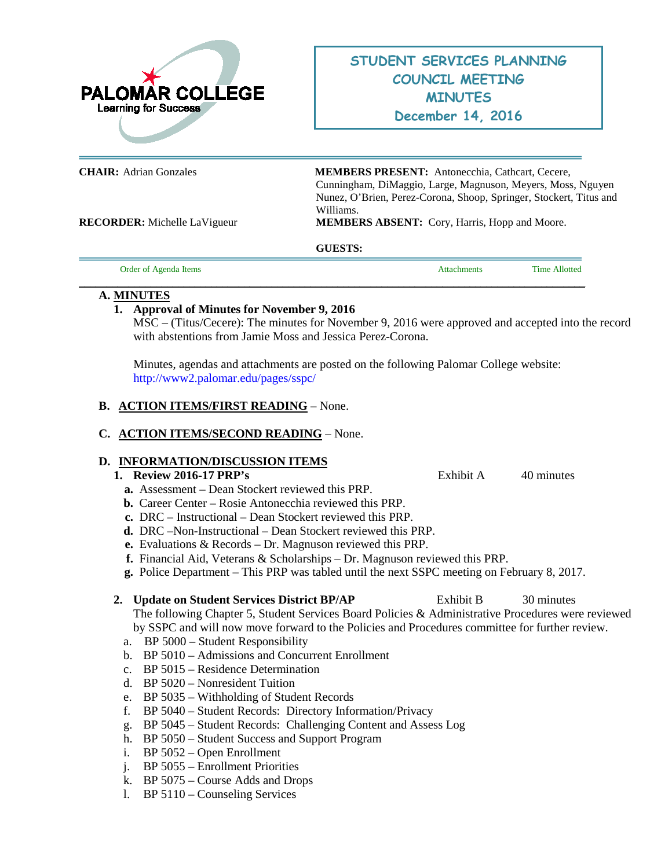

**CHAIR:** Adrian Gonzales **MEMBERS PRESENT:** Antonecchia, Cathcart, Cecere, Cunningham, DiMaggio, Large, Magnuson, Meyers, Moss, Nguyen Nunez, O'Brien, Perez-Corona, Shoop, Springer, Stockert, Titus and Williams.

**RECORDER:** Michelle LaVigueur **MEMBERS ABSENT:** Cory, Harris, Hopp and Moore.

## **GUESTS:**

**\_\_\_\_\_\_\_\_\_\_\_\_\_\_\_\_\_\_\_\_\_\_\_\_\_\_\_\_\_\_\_\_\_\_\_\_\_\_\_\_\_\_\_\_\_\_\_\_\_\_\_\_\_\_\_\_\_\_\_\_\_\_\_\_\_\_\_\_\_\_\_\_\_\_\_\_\_\_\_\_\_\_\_\_\_\_\_\_\_\_\_\_**

Order of Agenda Items **Attachments** Time Allotted

## **A. MINUTES**

# **1. Approval of Minutes for November 9, 2016**

MSC – (Titus/Cecere): The minutes for November 9, 2016 were approved and accepted into the record with abstentions from Jamie Moss and Jessica Perez-Corona.

Minutes, agendas and attachments are posted on the following Palomar College website: <http://www2.palomar.edu/pages/sspc/>

# **B. ACTION ITEMS/FIRST READING** – None.

# **C. ACTION ITEMS/SECOND READING** – None.

# **D. INFORMATION/DISCUSSION ITEMS**

## **1. Review 2016-17 PRP's** Exhibit A 40 minutes

- **a.** Assessment Dean Stockert reviewed this PRP.
- **b.** Career Center Rosie Antonecchia reviewed this PRP.
- **c.** DRC Instructional Dean Stockert reviewed this PRP.
- **d.** DRC –Non-Instructional Dean Stockert reviewed this PRP.
- **e.** Evaluations & Records Dr. Magnuson reviewed this PRP.
- **f.** Financial Aid, Veterans & Scholarships Dr. Magnuson reviewed this PRP.
- **g.** Police Department This PRP was tabled until the next SSPC meeting on February 8, 2017.

## **2. Update on Student Services District BP/AP** Exhibit B 30 minutes

The following Chapter 5, Student Services Board Policies & Administrative Procedures were reviewed by SSPC and will now move forward to the Policies and Procedures committee for further review.

- a. BP 5000 Student Responsibility
- b. BP 5010 Admissions and Concurrent Enrollment
- c. BP 5015 Residence Determination
- d. BP 5020 Nonresident Tuition
- e. BP 5035 Withholding of Student Records
- f. BP 5040 Student Records: Directory Information/Privacy
- g. BP 5045 Student Records: Challenging Content and Assess Log
- h. BP 5050 Student Success and Support Program
- i. BP 5052 Open Enrollment
- j. BP 5055 Enrollment Priorities
- k. BP 5075 Course Adds and Drops
- l. BP 5110 Counseling Services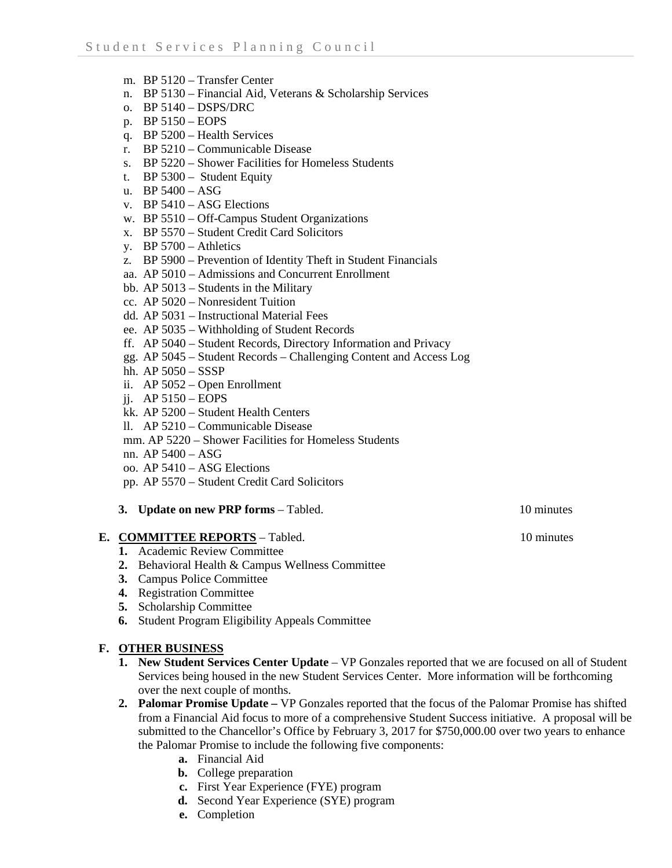- m. BP 5120 Transfer Center
- n. BP 5130 Financial Aid, Veterans & Scholarship Services
- o. BP 5140 DSPS/DRC
- p. BP 5150 EOPS
- q. BP 5200 Health Services
- r. BP 5210 Communicable Disease
- s. BP 5220 Shower Facilities for Homeless Students
- t. BP 5300 Student Equity
- u. BP 5400 ASG
- v. BP 5410 ASG Elections
- w. BP 5510 Off-Campus Student Organizations
- x. BP 5570 Student Credit Card Solicitors
- y. BP 5700 Athletics
- z. BP 5900 Prevention of Identity Theft in Student Financials
- aa. AP 5010 Admissions and Concurrent Enrollment
- bb. AP 5013 Students in the Military
- cc. AP 5020 Nonresident Tuition
- dd. AP 5031 Instructional Material Fees
- ee. AP 5035 Withholding of Student Records
- ff. AP 5040 Student Records, Directory Information and Privacy
- gg. AP 5045 Student Records Challenging Content and Access Log
- hh. AP 5050 SSSP
- ii. AP 5052 Open Enrollment
- jj. AP 5150 EOPS
- kk. AP 5200 Student Health Centers
- ll. AP 5210 Communicable Disease
- mm. AP 5220 Shower Facilities for Homeless Students
- nn. AP 5400 ASG
- oo. AP 5410 ASG Elections
- pp. AP 5570 Student Credit Card Solicitors
- **3. Update on new PRP forms** Tabled.10 minutes

## **E. COMMITTEE REPORTS** – Tabled. 10 minutes

- **1.** Academic Review Committee
- **2.** Behavioral Health & Campus Wellness Committee
- **3.** Campus Police Committee
- **4.** Registration Committee
- **5.** Scholarship Committee
- **6.** Student Program Eligibility Appeals Committee

# **F. OTHER BUSINESS**

- **1. New Student Services Center Update** VP Gonzales reported that we are focused on all of Student Services being housed in the new Student Services Center. More information will be forthcoming over the next couple of months.
- **2. Palomar Promise Update –** VP Gonzales reported that the focus of the Palomar Promise has shifted from a Financial Aid focus to more of a comprehensive Student Success initiative. A proposal will be submitted to the Chancellor's Office by February 3, 2017 for \$750,000.00 over two years to enhance the Palomar Promise to include the following five components:
	- **a.** Financial Aid
	- **b.** College preparation
	- **c.** First Year Experience (FYE) program
	- **d.** Second Year Experience (SYE) program
	- **e.** Completion